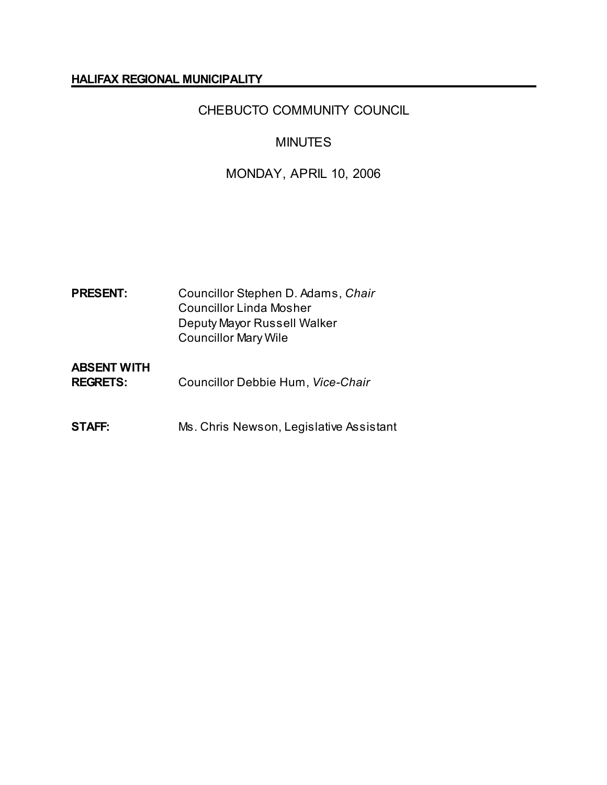### **HALIFAX REGIONAL MUNICIPALITY**

# CHEBUCTO COMMUNITY COUNCIL

# MINUTES

# MONDAY, APRIL 10, 2006

| <b>PRESENT:</b>                       | Councillor Stephen D. Adams, Chair<br><b>Councillor Linda Mosher</b><br>Deputy Mayor Russell Walker<br><b>Councillor Mary Wile</b> |
|---------------------------------------|------------------------------------------------------------------------------------------------------------------------------------|
| <b>ABSENT WITH</b><br><b>REGRETS:</b> | Councillor Debbie Hum, Vice-Chair                                                                                                  |
| STAFF:                                | Ms. Chris Newson, Legislative Assistant                                                                                            |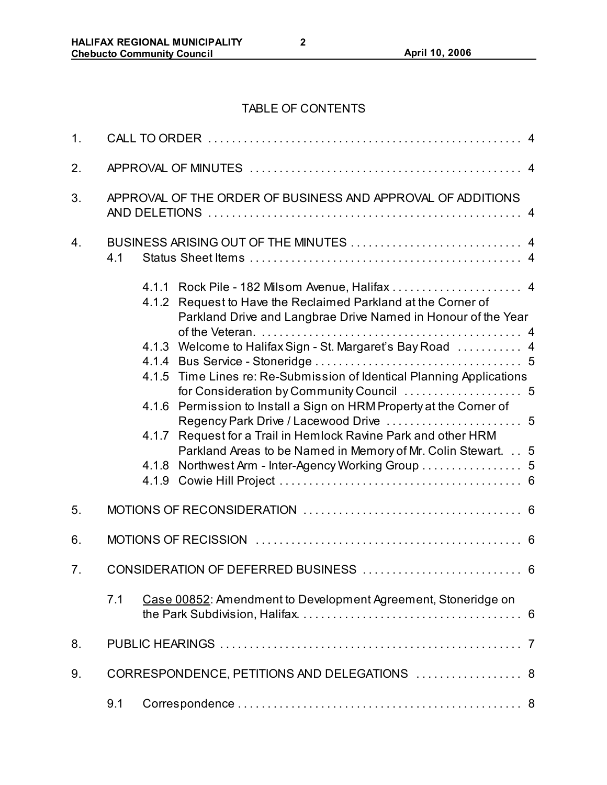# TABLE OF CONTENTS

| 1. |     |                                                             |                                                                                                                                                                             |  |  |  |
|----|-----|-------------------------------------------------------------|-----------------------------------------------------------------------------------------------------------------------------------------------------------------------------|--|--|--|
| 2. |     |                                                             |                                                                                                                                                                             |  |  |  |
| 3. |     | APPROVAL OF THE ORDER OF BUSINESS AND APPROVAL OF ADDITIONS |                                                                                                                                                                             |  |  |  |
| 4. | 4.1 |                                                             |                                                                                                                                                                             |  |  |  |
|    |     | 4.1.2                                                       | 4.1.1 Rock Pile - 182 Milsom Avenue, Halifax  4<br>Request to Have the Reclaimed Parkland at the Corner of<br>Parkland Drive and Langbrae Drive Named in Honour of the Year |  |  |  |
|    |     |                                                             | 4.1.3 Welcome to Halifax Sign - St. Margaret's Bay Road  4                                                                                                                  |  |  |  |
|    |     |                                                             |                                                                                                                                                                             |  |  |  |
|    |     |                                                             | 4.1.5 Time Lines re: Re-Submission of Identical Planning Applications                                                                                                       |  |  |  |
|    |     | 4.1.6                                                       | Permission to Install a Sign on HRM Property at the Corner of                                                                                                               |  |  |  |
|    |     |                                                             | 4.1.7 Request for a Trail in Hemlock Ravine Park and other HRM<br>Parkland Areas to be Named in Memory of Mr. Colin Stewart. 5                                              |  |  |  |
|    |     |                                                             | 4.1.8 Northwest Arm - Inter-Agency Working Group  5                                                                                                                         |  |  |  |
|    |     |                                                             |                                                                                                                                                                             |  |  |  |
| 5. |     |                                                             |                                                                                                                                                                             |  |  |  |
| 6. |     |                                                             |                                                                                                                                                                             |  |  |  |
| 7. |     |                                                             |                                                                                                                                                                             |  |  |  |
|    | 7.1 |                                                             | Case 00852: Amendment to Development Agreement, Stoneridge on                                                                                                               |  |  |  |
| 8. |     |                                                             |                                                                                                                                                                             |  |  |  |
| 9. |     |                                                             | CORRESPONDENCE, PETITIONS AND DELEGATIONS  8                                                                                                                                |  |  |  |
|    | 9.1 |                                                             |                                                                                                                                                                             |  |  |  |

**2**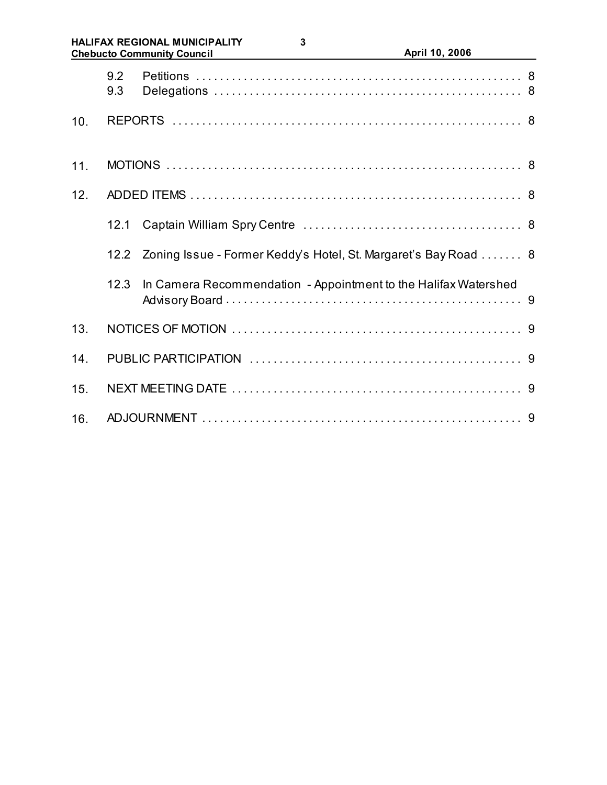#### **HALIFAX REGIONAL MUNICIPALITY Chebucto Community Council April 10, 2006**

|     | 9.2<br>9.3 |                                                                 |  |  |  |
|-----|------------|-----------------------------------------------------------------|--|--|--|
| 10. |            |                                                                 |  |  |  |
| 11. |            |                                                                 |  |  |  |
| 12. |            |                                                                 |  |  |  |
|     | 12.1       |                                                                 |  |  |  |
|     | 12.2       | Zoning Issue - Former Keddy's Hotel, St. Margaret's Bay Road  8 |  |  |  |
|     | 12.3       | In Camera Recommendation - Appointment to the Halifax Watershed |  |  |  |
| 13. |            |                                                                 |  |  |  |
| 14. |            |                                                                 |  |  |  |
| 15. |            |                                                                 |  |  |  |
| 16. |            |                                                                 |  |  |  |

**3**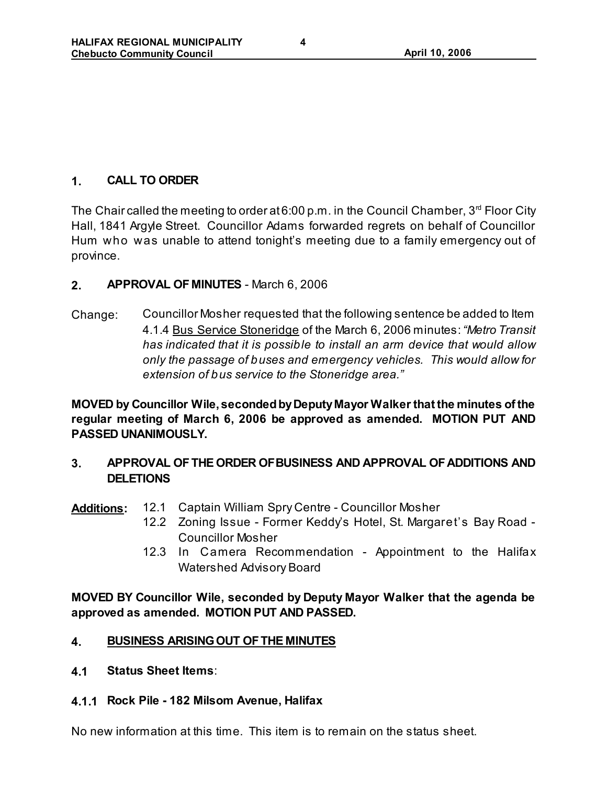# **1. CALL TO ORDER**

The Chair called the meeting to order at 6:00 p.m. in the Council Chamber,  $3<sup>rd</sup>$  Floor City Hall, 1841 Argyle Street. Councillor Adams forwarded regrets on behalf of Councillor Hum who was unable to attend tonight's meeting due to a family emergency out of province.

### **2. APPROVAL OF MINUTES** - March 6, 2006

Change: Councillor Mosher requested that the following sentence be added to Item 4.1.4 Bus Service Stoneridge of the March 6, 2006 minutes: *"Metro Transit has indicated that it is possible to install an arm device that would allow only the passage of buses and emergency vehicles. This would allow for extension of bus service to the Stoneridge area."*

**MOVED by Councillor Wile, seconded by Deputy Mayor Walker that the minutes of the regular meeting of March 6, 2006 be approved as amended. MOTION PUT AND PASSED UNANIMOUSLY.**

# **3. APPROVAL OF THE ORDER OF BUSINESS AND APPROVAL OF ADDITIONS AND DELETIONS**

- **Additions:** 12.1 Captain William Spry Centre Councillor Mosher
	- 12.2 Zoning Issue Former Keddy's Hotel, St. Margaret's Bay Road Councillor Mosher
	- 12.3 In Camera Recommendation Appointment to the Halifax Watershed Advisory Board

**MOVED BY Councillor Wile, seconded by Deputy Mayor Walker that the agenda be approved as amended. MOTION PUT AND PASSED.** 

### **4. BUSINESS ARISING OUT OF THE MINUTES**

**4.1 Status Sheet Items**:

#### **4.1.1 Rock Pile - 182 Milsom Avenue, Halifax**

No new information at this time. This item is to remain on the status sheet.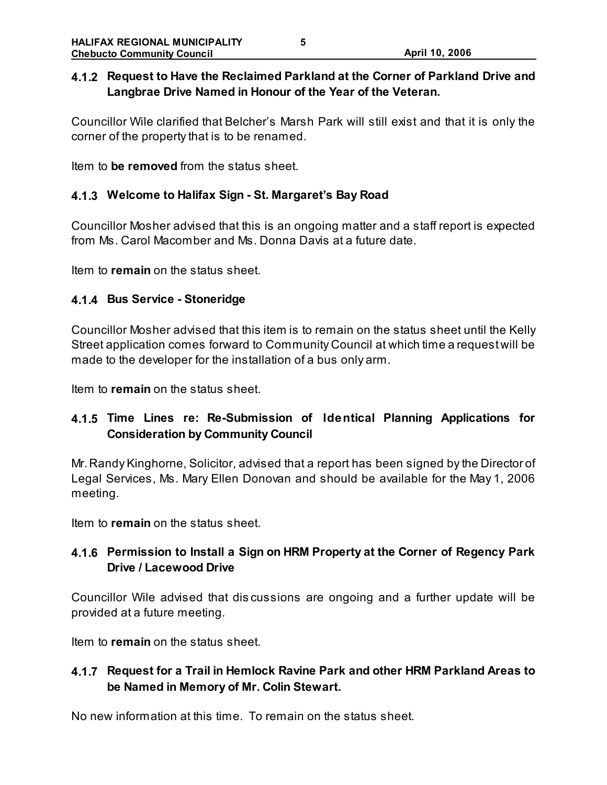# **4.1.2 Request to Have the Reclaimed Parkland at the Corner of Parkland Drive and Langbrae Drive Named in Honour of the Year of the Veteran.**

Councillor Wile clarified that Belcher's Marsh Park will still exist and that it is only the corner of the property that is to be renamed.

Item to **be removed** from the status sheet.

### **4.1.3 Welcome to Halifax Sign - St. Margaret's Bay Road**

Councillor Mosher advised that this is an ongoing matter and a staff report is expected from Ms. Carol Macomber and Ms. Donna Davis at a future date.

Item to **remain** on the status sheet.

### **4.1.4 Bus Service - Stoneridge**

Councillor Mosher advised that this item is to remain on the status sheet until the Kelly Street application comes forward to Community Council at which time a request will be made to the developer for the installation of a bus only arm.

Item to **remain** on the status sheet.

# **4.1.5 Time Lines re: Re-Submission of Identical Planning Applications for Consideration by Community Council**

Mr. Randy Kinghorne, Solicitor, advised that a report has been signed by the Director of Legal Services, Ms. Mary Ellen Donovan and should be available for the May 1, 2006 meeting.

Item to **remain** on the status sheet.

# **4.1.6 Permission to Install a Sign on HRM Property at the Corner of Regency Park Drive / Lacewood Drive**

Councillor Wile advised that dis cussions are ongoing and a further update will be provided at a future meeting.

Item to **remain** on the status sheet.

### **4.1.7 Request for a Trail in Hemlock Ravine Park and other HRM Parkland Areas to be Named in Memory of Mr. Colin Stewart.**

No new information at this time. To remain on the status sheet.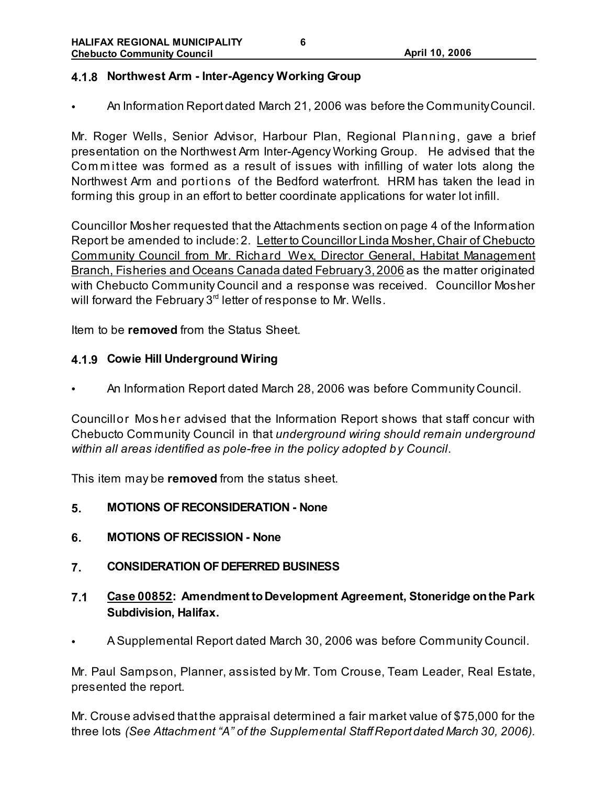#### **4.1.8 Northwest Arm - Inter-Agency Working Group**

• An Information Report dated March 21, 2006 was before the Community Council.

Mr. Roger Wells, Senior Advisor, Harbour Plan, Regional Planning, gave a brief presentation on the Northwest Arm Inter-Agency Working Group. He advised that the Committee was formed as a result of issues with infilling of water lots along the Northwest Arm and portions of the Bedford waterfront. HRM has taken the lead in forming this group in an effort to better coordinate applications for water lot infill.

Councillor Mosher requested that the Attachments section on page 4 of the Information Report be amended to include: 2. Letter to Councillor Linda Mosher, Chair of Chebucto Community Council from Mr. Richard Wex, Director General, Habitat Management Branch, Fisheries and Oceans Canada dated February 3, 2006 as the matter originated with Chebucto Community Council and a response was received. Councillor Mosher will forward the February  $3<sup>rd</sup>$  letter of response to Mr. Wells.

Item to be **removed** from the Status Sheet.

#### **4.1.9 Cowie Hill Underground Wiring**

• An Information Report dated March 28, 2006 was before Community Council.

Councillor Mos her advised that the Information Report shows that staff concur with Chebucto Community Council in that *underground wiring should remain underground within all areas identified as pole-free in the policy adopted by Council*.

This item may be **removed** from the status sheet.

- **5. MOTIONS OF RECONSIDERATION None**
- **6. MOTIONS OF RECISSION None**
- **7. CONSIDERATION OF DEFERRED BUSINESS**
- **7.1 Case 00852: Amendment to Development Agreement, Stoneridge on the Park Subdivision, Halifax.**
- A Supplemental Report dated March 30, 2006 was before Community Council.

Mr. Paul Sampson, Planner, assisted by Mr. Tom Crouse, Team Leader, Real Estate, presented the report.

Mr. Crouse advised that the appraisal determined a fair market value of \$75,000 for the three lots *(See Attachment "A" of the Supplemental Staff Report dated March 30, 2006).*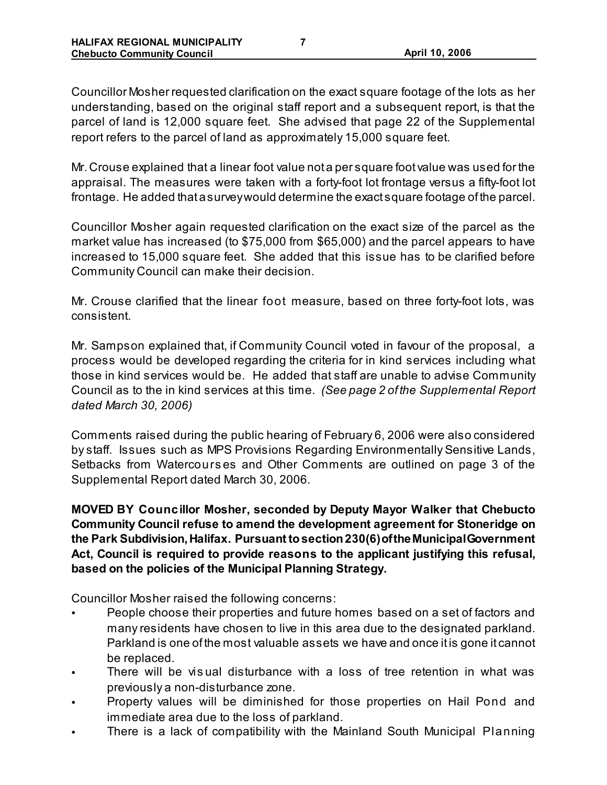Councillor Mosher requested clarification on the exact square footage of the lots as her understanding, based on the original staff report and a subsequent report, is that the parcel of land is 12,000 square feet. She advised that page 22 of the Supplemental report refers to the parcel of land as approximately 15,000 square feet.

Mr. Crouse explained that a linear foot value not a per square foot value was used for the appraisal. The measures were taken with a forty-foot lot frontage versus a fifty-foot lot frontage. He added that a survey would determine the exact square footage of the parcel.

Councillor Mosher again requested clarification on the exact size of the parcel as the market value has increased (to \$75,000 from \$65,000) and the parcel appears to have increased to 15,000 square feet. She added that this issue has to be clarified before Community Council can make their decision.

Mr. Crouse clarified that the linear foot measure, based on three forty-foot lots, was consistent.

Mr. Sampson explained that, if Community Council voted in favour of the proposal, a process would be developed regarding the criteria for in kind services including what those in kind services would be. He added that staff are unable to advise Community Council as to the in kind services at this time. *(See page 2 of the Supplemental Report dated March 30, 2006)*

Comments raised during the public hearing of February 6, 2006 were also considered by staff. Issues such as MPS Provisions Regarding Environmentally Sensitive Lands, Setbacks from Watercours es and Other Comments are outlined on page 3 of the Supplemental Report dated March 30, 2006.

**MOVED BY Councillor Mosher, seconded by Deputy Mayor Walker that Chebucto Community Council refuse to amend the development agreement for Stoneridge on the Park Subdivision, Halifax. Pursuant to section 230(6) of the Municipal Government Act, Council is required to provide reasons to the applicant justifying this refusal, based on the policies of the Municipal Planning Strategy.** 

Councillor Mosher raised the following concerns:

- People choose their properties and future homes based on a set of factors and many residents have chosen to live in this area due to the designated parkland. Parkland is one of the most valuable assets we have and once it is gone it cannot be replaced.
- There will be vis ual disturbance with a loss of tree retention in what was previously a non-disturbance zone.
- Property values will be diminished for those properties on Hail Pond and immediate area due to the loss of parkland.
- There is a lack of compatibility with the Mainland South Municipal Planning

**7**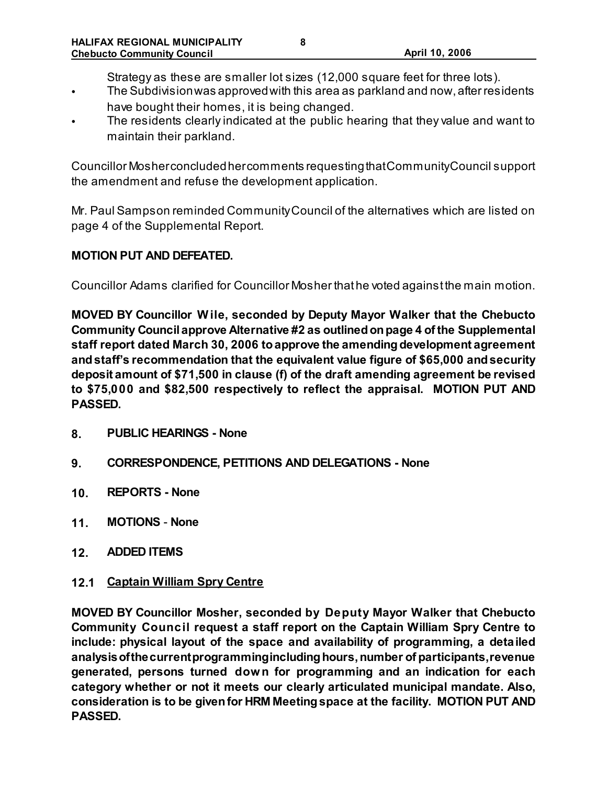Strategy as these are smaller lot sizes (12,000 square feet for three lots).

- The Subdivision was approved with this area as parkland and now, after residents have bought their homes, it is being changed.
- The residents clearly indicated at the public hearing that they value and want to maintain their parkland.

Councillor Mosher concluded her comments requesting that Community Council support the amendment and refuse the development application.

Mr. Paul Sampson reminded Community Council of the alternatives which are listed on page 4 of the Supplemental Report.

### **MOTION PUT AND DEFEATED.**

Councillor Adams clarified for Councillor Mosher that he voted against the main motion.

**MOVED BY Councillor W ile, seconded by Deputy Mayor Walker that the Chebucto Community Council approve Alternative #2 as outlined on page 4 of the Supplemental staff report dated March 30, 2006 to approve the amending development agreement and staff's recommendation that the equivalent value figure of \$65,000 and security deposit amount of \$71,500 in clause (f) of the draft amending agreement be revised to \$75,000 and \$82,500 respectively to reflect the appraisal. MOTION PUT AND PASSED.** 

- **8. PUBLIC HEARINGS None**
- **9. CORRESPONDENCE, PETITIONS AND DELEGATIONS None**
- **10. REPORTS None**
- **11. MOTIONS None**
- **12. ADDED ITEMS**
- **12.1 Captain William Spry Centre**

**MOVED BY Councillor Mosher, seconded by Deputy Mayor Walker that Chebucto Community Council request a staff report on the Captain William Spry Centre to include: physical layout of the space and availability of programming, a detailed analysis of the current programming including hours, number of participants, revenue generated, persons turned down for programming and an indication for each category whether or not it meets our clearly articulated municipal mandate. Also, consideration is to be given for HRM Meeting space at the facility. MOTION PUT AND PASSED.**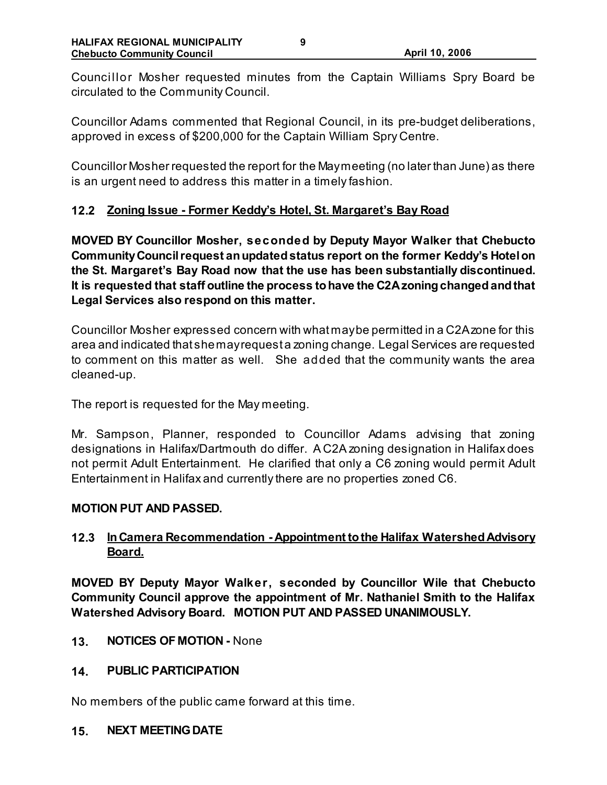Councillor Mosher requested minutes from the Captain Williams Spry Board be circulated to the Community Council.

Councillor Adams commented that Regional Council, in its pre-budget deliberations, approved in excess of \$200,000 for the Captain William Spry Centre.

Councillor Mosher requested the report for the May meeting (no later than June) as there is an urgent need to address this matter in a timely fashion.

### **12.2 Zoning Issue - Former Keddy's Hotel, St. Margaret's Bay Road**

**MOVED BY Councillor Mosher, seconded by Deputy Mayor Walker that Chebucto Community Council request an updated status report on the former Keddy's Hotel on the St. Margaret's Bay Road now that the use has been substantially discontinued. It is requested that staff outline the process to have the C2A zoning changed and that Legal Services also respond on this matter.** 

Councillor Mosher expressed concern with what may be permitted in a C2A zone for this area and indicated that she may request a zoning change. Legal Services are requested to comment on this matter as well. She added that the community wants the area cleaned-up.

The report is requested for the May meeting.

Mr. Sampson, Planner, responded to Councillor Adams advising that zoning designations in Halifax/Dartmouth do differ. A C2A zoning designation in Halifax does not permit Adult Entertainment. He clarified that only a C6 zoning would permit Adult Entertainment in Halifax and currently there are no properties zoned C6.

#### **MOTION PUT AND PASSED.**

### **12.3 In Camera Recommendation - Appointment to the Halifax Watershed Advisory Board.**

**MOVED BY Deputy Mayor Walker, seconded by Councillor Wile that Chebucto Community Council approve the appointment of Mr. Nathaniel Smith to the Halifax Watershed Advisory Board. MOTION PUT AND PASSED UNANIMOUSLY.** 

**13. NOTICES OF MOTION -** None

#### **14. PUBLIC PARTICIPATION**

No members of the public came forward at this time.

**15. NEXT MEETING DATE**